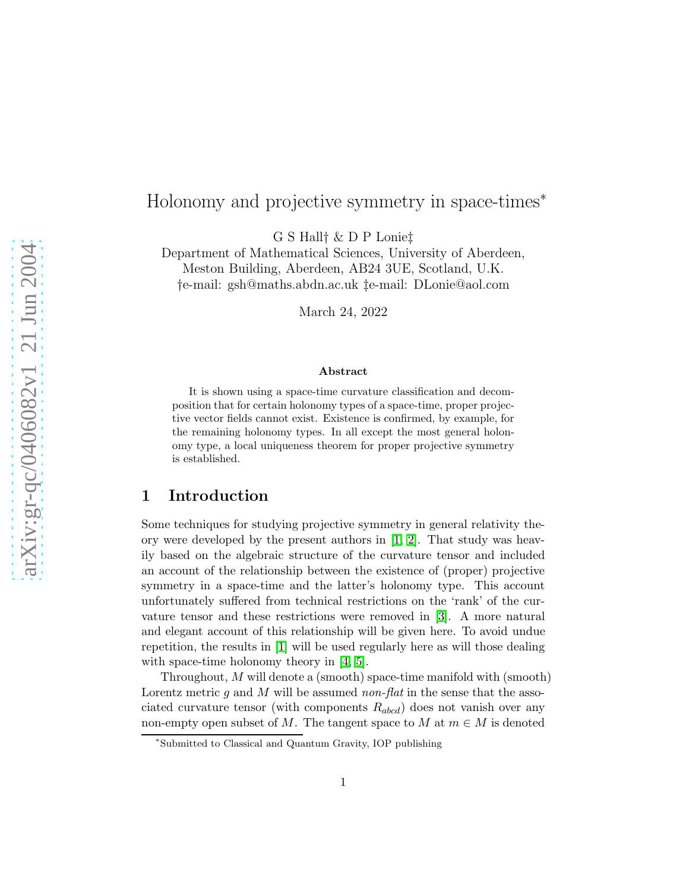# arXiv:gr-qc/0406082v1 21 Jun 2004 [arXiv:gr-qc/0406082v1 21 Jun 2004](http://arxiv.org/abs/gr-qc/0406082v1)

# Holonomy and projective symmetry in space-times<sup>∗</sup>

G S Hall† & D P Lonie‡

Department of Mathematical Sciences, University of Aberdeen, Meston Building, Aberdeen, AB24 3UE, Scotland, U.K. †e-mail: gsh@maths.abdn.ac.uk ‡e-mail: DLonie@aol.com

March 24, 2022

### Abstract

It is shown using a space-time curvature classification and decomposition that for certain holonomy types of a space-time, proper projective vector fields cannot exist. Existence is confirmed, by example, for the remaining holonomy types. In all except the most general holonomy type, a local uniqueness theorem for proper projective symmetry is established.

### 1 Introduction

Some techniques for studying projective symmetry in general relativity theory were developed by the present authors in  $[1, 2]$  $[1, 2]$ . That study was heavily based on the algebraic structure of the curvature tensor and included an account of the relationship between the existence of (proper) projective symmetry in a space-time and the latter's holonomy type. This account unfortunately suffered from technical restrictions on the 'rank' of the curvature tensor and these restrictions were removed in [\[3\]](#page-10-2). A more natural and elegant account of this relationship will be given here. To avoid undue repetition, the results in [\[1\]](#page-10-0) will be used regularly here as will those dealing with space-time holonomy theory in [\[4,](#page-10-3) [5\]](#page-10-4).

Throughout, M will denote a (smooth) space-time manifold with (smooth) Lorentz metric  $g$  and  $M$  will be assumed non-flat in the sense that the associated curvature tensor (with components  $R_{abcd}$ ) does not vanish over any non-empty open subset of M. The tangent space to M at  $m \in M$  is denoted

<sup>∗</sup> Submitted to Classical and Quantum Gravity, IOP publishing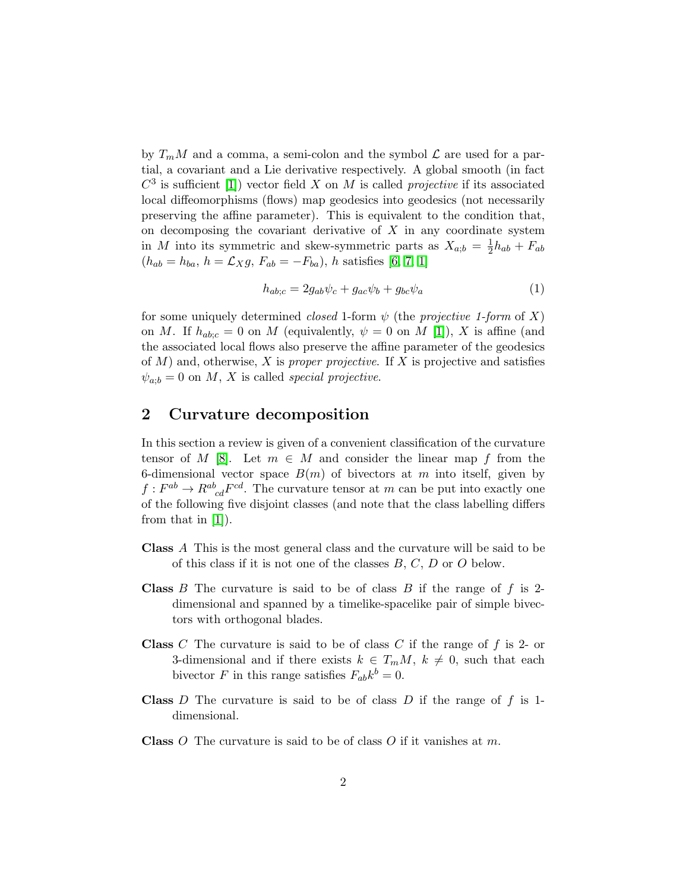by  $T_mM$  and a comma, a semi-colon and the symbol  $\mathcal L$  are used for a partial, a covariant and a Lie derivative respectively. A global smooth (in fact  $C^3$  is sufficient [\[1\]](#page-10-0)) vector field X on M is called *projective* if its associated local diffeomorphisms (flows) map geodesics into geodesics (not necessarily preserving the affine parameter). This is equivalent to the condition that, on decomposing the covariant derivative of  $X$  in any coordinate system in M into its symmetric and skew-symmetric parts as  $X_{a;b} = \frac{1}{2}h_{ab} + F_{ab}$  $(h_{ab} = h_{ba}, h = \mathcal{L}_{X} g, F_{ab} = -F_{ba}), h \text{ satisfies } [6, 7, 1]$  $(h_{ab} = h_{ba}, h = \mathcal{L}_{X} g, F_{ab} = -F_{ba}), h \text{ satisfies } [6, 7, 1]$  $(h_{ab} = h_{ba}, h = \mathcal{L}_{X} g, F_{ab} = -F_{ba}), h \text{ satisfies } [6, 7, 1]$  $(h_{ab} = h_{ba}, h = \mathcal{L}_{X} g, F_{ab} = -F_{ba}), h \text{ satisfies } [6, 7, 1]$ 

$$
h_{ab;c} = 2g_{ab}\psi_c + g_{ac}\psi_b + g_{bc}\psi_a \tag{1}
$$

for some uniquely determined *closed* 1-form  $\psi$  (the *projective 1-form* of X) on M. If  $h_{abc} = 0$  on M (equivalently,  $\psi = 0$  on M [\[1\]](#page-10-0)), X is affine (and the associated local flows also preserve the affine parameter of the geodesics of  $M$ ) and, otherwise, X is proper projective. If X is projective and satisfies  $\psi_{a;b} = 0$  on M, X is called special projective.

### 2 Curvature decomposition

In this section a review is given of a convenient classification of the curvature tensor of M [\[8\]](#page-10-7). Let  $m \in M$  and consider the linear map f from the 6-dimensional vector space  $B(m)$  of bivectors at m into itself, given by  $f: F^{ab} \to R^{ab}_{cd}F^{cd}$ . The curvature tensor at m can be put into exactly one of the following five disjoint classes (and note that the class labelling differs from that in [\[1\]](#page-10-0)).

- Class A This is the most general class and the curvature will be said to be of this class if it is not one of the classes  $B, C, D$  or  $O$  below.
- **Class** B The curvature is said to be of class B if the range of  $f$  is 2dimensional and spanned by a timelike-spacelike pair of simple bivectors with orthogonal blades.
- **Class**  $C$  The curvature is said to be of class  $C$  if the range of  $f$  is 2- or 3-dimensional and if there exists  $k \in T_m M$ ,  $k \neq 0$ , such that each bivector F in this range satisfies  $F_{ab}k^b = 0$ .
- **Class** D The curvature is said to be of class D if the range of f is 1dimensional.
- **Class**  $O$  The curvature is said to be of class  $O$  if it vanishes at  $m$ .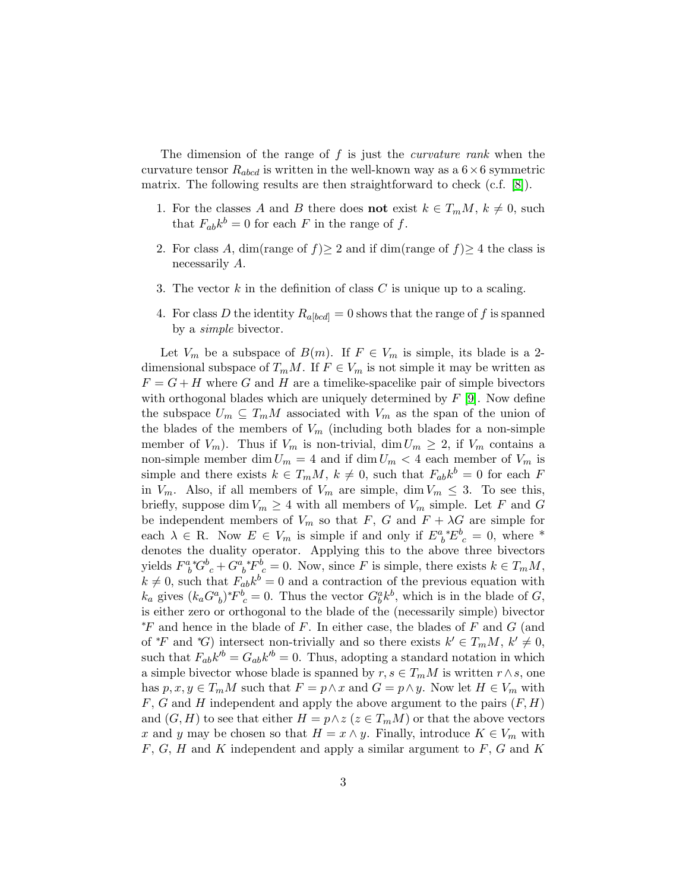The dimension of the range of  $f$  is just the *curvature rank* when the curvature tensor  $R_{abcd}$  is written in the well-known way as a  $6 \times 6$  symmetric matrix. The following results are then straightforward to check (c.f. [\[8\]](#page-10-7)).

- 1. For the classes A and B there does **not** exist  $k \in T_mM$ ,  $k \neq 0$ , such that  $F_{ab}k^b = 0$  for each F in the range of f.
- 2. For class A, dim(range of  $f \geq 2$  and if dim(range of  $f \geq 4$  the class is necessarily A.
- 3. The vector  $k$  in the definition of class  $C$  is unique up to a scaling.
- 4. For class D the identity  $R_{a,bcd} = 0$  shows that the range of f is spanned by a simple bivector.

Let  $V_m$  be a subspace of  $B(m)$ . If  $F \in V_m$  is simple, its blade is a 2dimensional subspace of  $T_mM$ . If  $F \in V_m$  is not simple it may be written as  $F = G + H$  where G and H are a timelike-spacelike pair of simple bivectors with orthogonal blades which are uniquely determined by  $F$  [\[9\]](#page-10-8). Now define the subspace  $U_m \subseteq T_mM$  associated with  $V_m$  as the span of the union of the blades of the members of  $V_m$  (including both blades for a non-simple member of  $V_m$ ). Thus if  $V_m$  is non-trivial, dim  $U_m \geq 2$ , if  $V_m$  contains a non-simple member dim  $U_m = 4$  and if dim  $U_m < 4$  each member of  $V_m$  is simple and there exists  $k \in T_m M$ ,  $k \neq 0$ , such that  $F_{ab} k^b = 0$  for each F in  $V_m$ . Also, if all members of  $V_m$  are simple, dim  $V_m \leq 3$ . To see this, briefly, suppose dim  $V_m \geq 4$  with all members of  $V_m$  simple. Let F and G be independent members of  $V_m$  so that F, G and  $F + \lambda G$  are simple for each  $\lambda \in \mathbb{R}$ . Now  $E \in V_m$  is simple if and only if  $E^a{}_b^*E^b{}_c = 0$ , where \* denotes the duality operator. Applying this to the above three bivectors yields  $F^a_{\ b}{}^*G^b_{\ c} + G^a_{\ b}{}^*F^{\dot{b}}_{\ c} = 0$ . Now, since F is simple, there exists  $k \in T_mM$ ,  $k \neq 0$ , such that  $F_{ab}k^b = 0$  and a contraction of the previous equation with  $k_a$  gives  $(k_a G^a_{\ b})^* F^b_{\ c} = 0$ . Thus the vector  $G^a_{b} k^b$ , which is in the blade of G, is either zero or orthogonal to the blade of the (necessarily simple) bivector  $*F$  and hence in the blade of F. In either case, the blades of F and G (and of \*F and \*G) intersect non-trivially and so there exists  $k' \in T_mM$ ,  $k' \neq 0$ , such that  $F_{ab}k'^b = G_{ab}k'^b = 0$ . Thus, adopting a standard notation in which a simple bivector whose blade is spanned by  $r, s \in T_mM$  is written  $r \wedge s$ , one has  $p, x, y \in T_m M$  such that  $F = p \wedge x$  and  $G = p \wedge y$ . Now let  $H \in V_m$  with  $F, G$  and H independent and apply the above argument to the pairs  $(F, H)$ and  $(G, H)$  to see that either  $H = p \wedge z$  ( $z \in T_mM$ ) or that the above vectors x and y may be chosen so that  $H = x \wedge y$ . Finally, introduce  $K \in V_m$  with  $F, G, H$  and K independent and apply a similar argument to  $F, G$  and K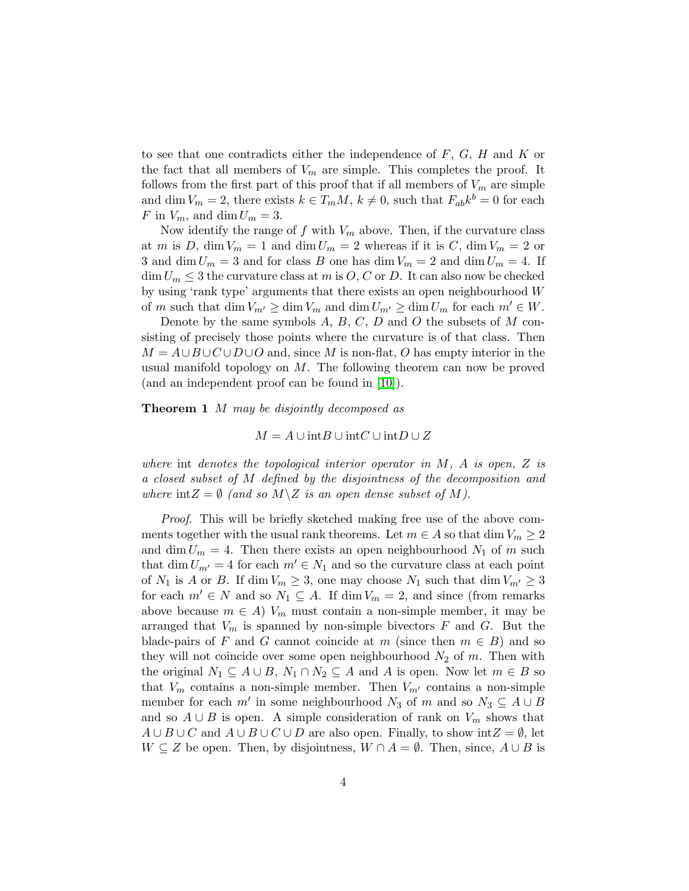to see that one contradicts either the independence of  $F, G, H$  and  $K$  or the fact that all members of  $V_m$  are simple. This completes the proof. It follows from the first part of this proof that if all members of  $V_m$  are simple and dim  $V_m = 2$ , there exists  $k \in T_mM$ ,  $k \neq 0$ , such that  $F_{ab}k^b = 0$  for each F in  $V_m$ , and dim  $U_m = 3$ .

Now identify the range of  $f$  with  $V_m$  above. Then, if the curvature class at m is D, dim  $V_m = 1$  and dim  $U_m = 2$  whereas if it is C, dim  $V_m = 2$  or 3 and dim  $U_m = 3$  and for class B one has dim  $V_m = 2$  and dim  $U_m = 4$ . If  $\dim U_m \leq 3$  the curvature class at m is  $O, C$  or D. It can also now be checked by using 'rank type' arguments that there exists an open neighbourhood W of m such that dim  $V_{m'} \ge \dim V_m$  and  $\dim U_{m'} \ge \dim U_m$  for each  $m' \in W$ .

Denote by the same symbols  $A, B, C, D$  and  $O$  the subsets of  $M$  consisting of precisely those points where the curvature is of that class. Then  $M = A \cup B \cup C \cup D \cup O$  and, since M is non-flat, O has empty interior in the usual manifold topology on  $M$ . The following theorem can now be proved (and an independent proof can be found in [\[10\]](#page-10-9)).

**Theorem 1** M may be disjointly decomposed as

 $M = A \cup \text{int}B \cup \text{int}C \cup \text{int}D \cup Z$ 

where int denotes the topological interior operator in  $M$ ,  $A$  is open,  $Z$  is a closed subset of M defined by the disjointness of the decomposition and where  $int Z = \emptyset$  (and so  $M \backslash Z$  is an open dense subset of M).

Proof. This will be briefly sketched making free use of the above comments together with the usual rank theorems. Let  $m \in A$  so that  $\dim V_m \geq 2$ and dim  $U_m = 4$ . Then there exists an open neighbourhood  $N_1$  of m such that dim  $U_{m'} = 4$  for each  $m' \in N_1$  and so the curvature class at each point of  $N_1$  is A or B. If dim  $V_m \geq 3$ , one may choose  $N_1$  such that dim  $V_{m'} \geq 3$ for each  $m' \in N$  and so  $N_1 \subseteq A$ . If dim  $V_m = 2$ , and since (from remarks above because  $m \in A$ )  $V_m$  must contain a non-simple member, it may be arranged that  $V_m$  is spanned by non-simple bivectors F and G. But the blade-pairs of F and G cannot coincide at m (since then  $m \in B$ ) and so they will not coincide over some open neighbourhood  $N_2$  of m. Then with the original  $N_1 \subseteq A \cup B$ ,  $N_1 \cap N_2 \subseteq A$  and A is open. Now let  $m \in B$  so that  $V_m$  contains a non-simple member. Then  $V_{m'}$  contains a non-simple member for each  $m'$  in some neighbourhood  $N_3$  of m and so  $N_3 \subseteq A \cup B$ and so  $A \cup B$  is open. A simple consideration of rank on  $V_m$  shows that  $A \cup B \cup C$  and  $A \cup B \cup C \cup D$  are also open. Finally, to show int $Z = \emptyset$ , let  $W \subseteq Z$  be open. Then, by disjointness,  $W \cap A = \emptyset$ . Then, since,  $A \cup B$  is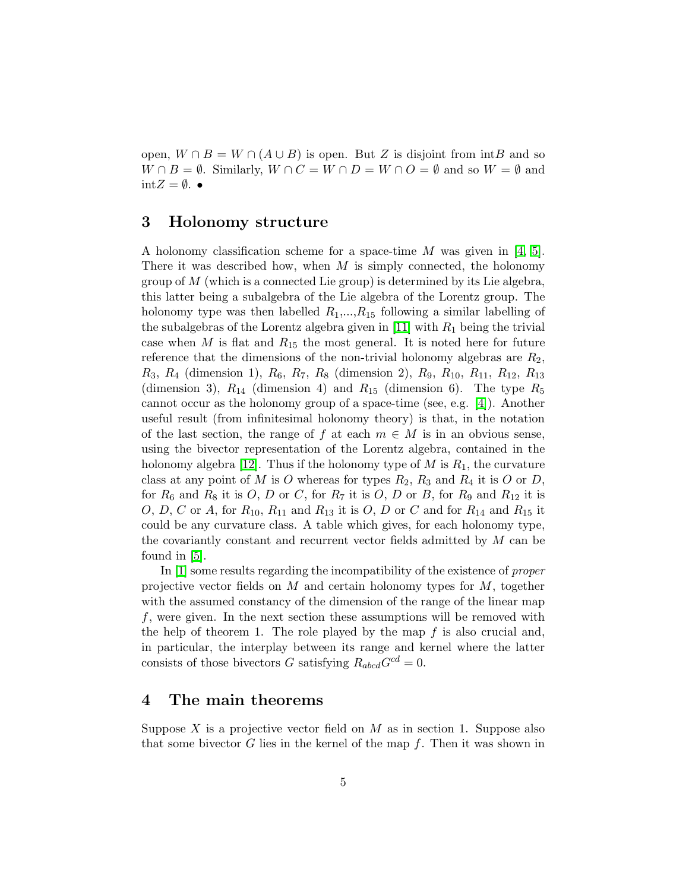open,  $W \cap B = W \cap (A \cup B)$  is open. But Z is disjoint from intB and so  $W \cap B = \emptyset$ . Similarly,  $W \cap C = W \cap D = W \cap O = \emptyset$  and so  $W = \emptyset$  and  $int Z = \emptyset$ .

### 3 Holonomy structure

A holonomy classification scheme for a space-time M was given in [\[4,](#page-10-3) [5\]](#page-10-4). There it was described how, when  $M$  is simply connected, the holonomy group of  $M$  (which is a connected Lie group) is determined by its Lie algebra, this latter being a subalgebra of the Lie algebra of the Lorentz group. The holonomy type was then labelled  $R_1, ..., R_{15}$  following a similar labelling of the subalgebras of the Lorentz algebra given in [\[11\]](#page-10-10) with  $R_1$  being the trivial case when M is flat and  $R_{15}$  the most general. It is noted here for future reference that the dimensions of the non-trivial holonomy algebras are  $R_2$ ,  $R_3, R_4$  (dimension 1),  $R_6, R_7, R_8$  (dimension 2),  $R_9, R_{10}, R_{11}, R_{12}, R_{13}$ (dimension 3),  $R_{14}$  (dimension 4) and  $R_{15}$  (dimension 6). The type  $R_5$ cannot occur as the holonomy group of a space-time (see, e.g. [\[4\]](#page-10-3)). Another useful result (from infinitesimal holonomy theory) is that, in the notation of the last section, the range of f at each  $m \in M$  is in an obvious sense, using the bivector representation of the Lorentz algebra, contained in the holonomy algebra [\[12\]](#page-11-0). Thus if the holonomy type of M is  $R_1$ , the curvature class at any point of M is O whereas for types  $R_2$ ,  $R_3$  and  $R_4$  it is O or D, for  $R_6$  and  $R_8$  it is O, D or C, for  $R_7$  it is O, D or B, for  $R_9$  and  $R_{12}$  it is O, D, C or A, for  $R_{10}$ ,  $R_{11}$  and  $R_{13}$  it is O, D or C and for  $R_{14}$  and  $R_{15}$  it could be any curvature class. A table which gives, for each holonomy type, the covariantly constant and recurrent vector fields admitted by  $M$  can be found in [\[5\]](#page-10-4).

In [\[1\]](#page-10-0) some results regarding the incompatibility of the existence of *proper* projective vector fields on M and certain holonomy types for M, together with the assumed constancy of the dimension of the range of the linear map f, were given. In the next section these assumptions will be removed with the help of theorem 1. The role played by the map  $f$  is also crucial and, in particular, the interplay between its range and kernel where the latter consists of those bivectors G satisfying  $R_{abcd}G^{cd} = 0$ .

### 4 The main theorems

Suppose X is a projective vector field on  $M$  as in section 1. Suppose also that some bivector G lies in the kernel of the map  $f$ . Then it was shown in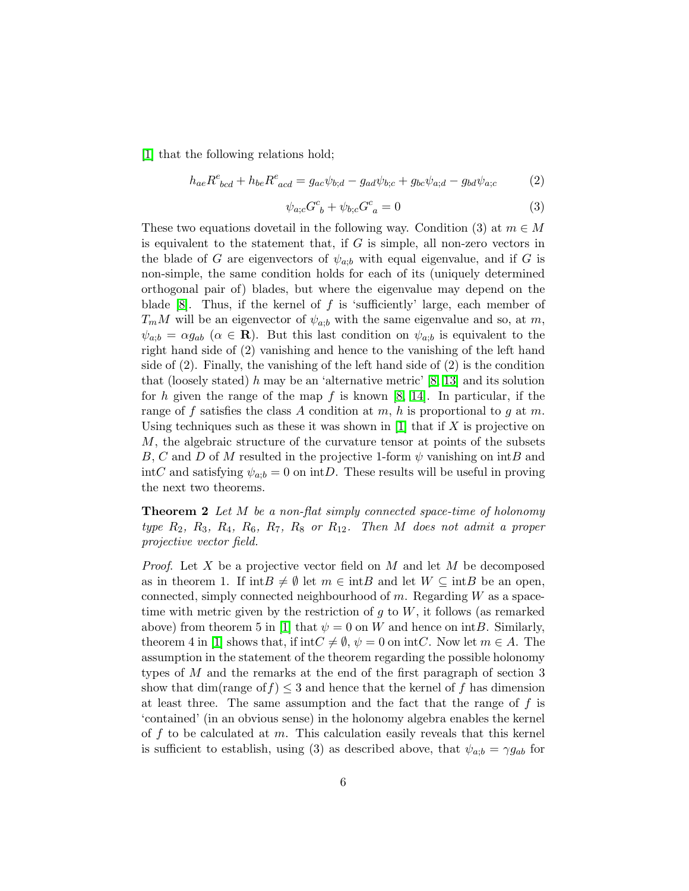[\[1\]](#page-10-0) that the following relations hold;

$$
h_{ae}R^{e}_{\phantom{e}bcd} + h_{be}R^{e}_{\phantom{e}acd} = g_{ac}\psi_{b;d} - g_{ad}\psi_{b;c} + g_{bc}\psi_{a;d} - g_{bd}\psi_{a;c}
$$
 (2)

$$
\psi_{a;c}G^c_{\ b} + \psi_{b;c}G^c_{\ a} = 0\tag{3}
$$

These two equations dovetail in the following way. Condition (3) at  $m \in M$ is equivalent to the statement that, if  $G$  is simple, all non-zero vectors in the blade of G are eigenvectors of  $\psi_{a,b}$  with equal eigenvalue, and if G is non-simple, the same condition holds for each of its (uniquely determined orthogonal pair of) blades, but where the eigenvalue may depend on the blade [\[8\]](#page-10-7). Thus, if the kernel of f is 'sufficiently' large, each member of  $T_mM$  will be an eigenvector of  $\psi_{a,b}$  with the same eigenvalue and so, at m,  $\psi_{a,b} = \alpha g_{ab}$   $(\alpha \in \mathbf{R})$ . But this last condition on  $\psi_{a,b}$  is equivalent to the right hand side of (2) vanishing and hence to the vanishing of the left hand side of (2). Finally, the vanishing of the left hand side of (2) is the condition that (loosely stated) h may be an 'alternative metric'  $[8, 13]$  $[8, 13]$  and its solution for h given the range of the map  $f$  is known [\[8,](#page-10-7) [14\]](#page-11-2). In particular, if the range of f satisfies the class A condition at m, h is proportional to g at m. Using techniques such as these it was shown in  $[1]$  that if X is projective on M, the algebraic structure of the curvature tensor at points of the subsets B, C and D of M resulted in the projective 1-form  $\psi$  vanishing on intB and intC and satisfying  $\psi_{a;b} = 0$  on intD. These results will be useful in proving the next two theorems.

**Theorem 2** Let M be a non-flat simply connected space-time of holonomy type  $R_2$ ,  $R_3$ ,  $R_4$ ,  $R_6$ ,  $R_7$ ,  $R_8$  or  $R_{12}$ . Then M does not admit a proper projective vector field.

*Proof.* Let X be a projective vector field on M and let M be decomposed as in theorem 1. If  $int B \neq \emptyset$  let  $m \in int B$  and let  $W \subseteq int B$  be an open, connected, simply connected neighbourhood of m. Regarding  $W$  as a spacetime with metric given by the restriction of  $g$  to  $W$ , it follows (as remarked above) from theorem 5 in [\[1\]](#page-10-0) that  $\psi = 0$  on W and hence on intB. Similarly, theorem 4 in [\[1\]](#page-10-0) shows that, if int $C \neq \emptyset$ ,  $\psi = 0$  on intC. Now let  $m \in A$ . The assumption in the statement of the theorem regarding the possible holonomy types of M and the remarks at the end of the first paragraph of section 3 show that dim(range of  $f$ )  $\leq$  3 and hence that the kernel of f has dimension at least three. The same assumption and the fact that the range of  $f$  is 'contained' (in an obvious sense) in the holonomy algebra enables the kernel of  $f$  to be calculated at  $m$ . This calculation easily reveals that this kernel is sufficient to establish, using (3) as described above, that  $\psi_{a;b} = \gamma g_{ab}$  for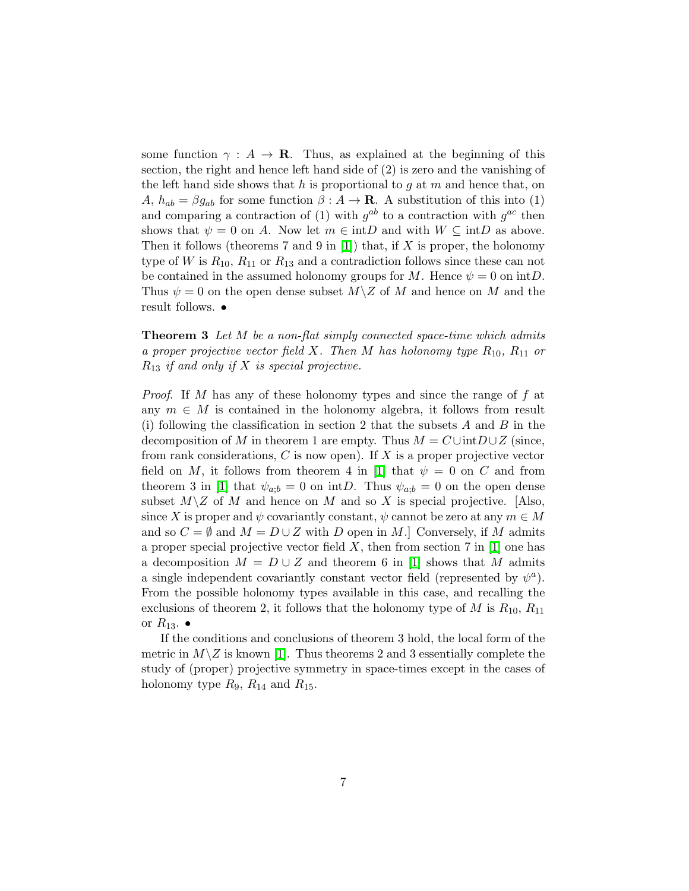some function  $\gamma : A \to \mathbf{R}$ . Thus, as explained at the beginning of this section, the right and hence left hand side of (2) is zero and the vanishing of the left hand side shows that  $h$  is proportional to  $g$  at  $m$  and hence that, on A,  $h_{ab} = \beta g_{ab}$  for some function  $\beta : A \to \mathbf{R}$ . A substitution of this into (1) and comparing a contraction of (1) with  $g^{ab}$  to a contraction with  $g^{ac}$  then shows that  $\psi = 0$  on A. Now let  $m \in \text{int}D$  and with  $W \subseteq \text{int}D$  as above. Then it follows (theorems 7 and 9 in [\[1\]](#page-10-0)) that, if X is proper, the holonomy type of W is  $R_{10}$ ,  $R_{11}$  or  $R_{13}$  and a contradiction follows since these can not be contained in the assumed holonomy groups for M. Hence  $\psi = 0$  on intD. Thus  $\psi = 0$  on the open dense subset  $M \backslash Z$  of M and hence on M and the result follows. •

**Theorem 3** Let M be a non-flat simply connected space-time which admits a proper projective vector field X. Then M has holonomy type  $R_{10}$ ,  $R_{11}$  or  $R_{13}$  if and only if X is special projective.

Proof. If M has any of these holonomy types and since the range of f at any  $m \in M$  is contained in the holonomy algebra, it follows from result (i) following the classification in section 2 that the subsets  $A$  and  $B$  in the decomposition of M in theorem 1 are empty. Thus  $M = C \cup intD \cup Z$  (since, from rank considerations,  $C$  is now open). If  $X$  is a proper projective vector field on M, it follows from theorem 4 in [\[1\]](#page-10-0) that  $\psi = 0$  on C and from theorem 3 in [\[1\]](#page-10-0) that  $\psi_{a;b} = 0$  on intD. Thus  $\psi_{a;b} = 0$  on the open dense subset  $M\backslash Z$  of M and hence on M and so X is special projective. [Also, since X is proper and  $\psi$  covariantly constant,  $\psi$  cannot be zero at any  $m \in M$ and so  $C = \emptyset$  and  $M = D \cup Z$  with D open in M.] Conversely, if M admits a proper special projective vector field X, then from section 7 in  $[1]$  one has a decomposition  $M = D \cup Z$  and theorem 6 in [\[1\]](#page-10-0) shows that M admits a single independent covariantly constant vector field (represented by  $\psi^a$ ). From the possible holonomy types available in this case, and recalling the exclusions of theorem 2, it follows that the holonomy type of M is  $R_{10}$ ,  $R_{11}$ or  $R_{13}$ .  $\bullet$ 

If the conditions and conclusions of theorem 3 hold, the local form of the metric in  $M\setminus Z$  is known [\[1\]](#page-10-0). Thus theorems 2 and 3 essentially complete the study of (proper) projective symmetry in space-times except in the cases of holonomy type  $R_9$ ,  $R_{14}$  and  $R_{15}$ .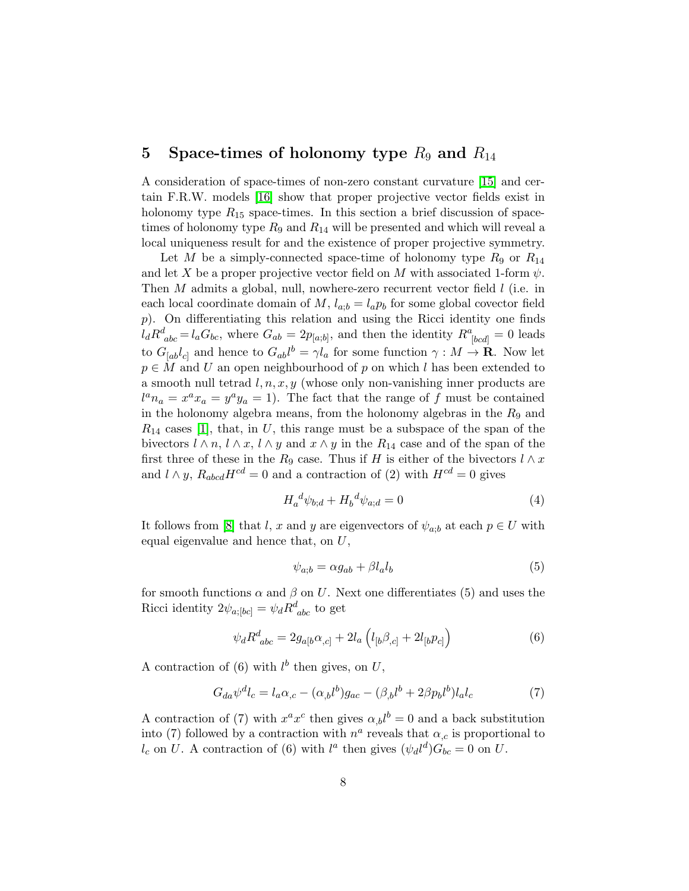## 5 Space-times of holonomy type  $R_9$  and  $R_{14}$

A consideration of space-times of non-zero constant curvature [\[15\]](#page-11-3) and certain F.R.W. models [\[16\]](#page-11-4) show that proper projective vector fields exist in holonomy type  $R_{15}$  space-times. In this section a brief discussion of spacetimes of holonomy type  $R_9$  and  $R_{14}$  will be presented and which will reveal a local uniqueness result for and the existence of proper projective symmetry.

Let M be a simply-connected space-time of holonomy type  $R_9$  or  $R_{14}$ and let X be a proper projective vector field on M with associated 1-form  $\psi$ . Then  $M$  admits a global, null, nowhere-zero recurrent vector field  $l$  (i.e. in each local coordinate domain of  $M$ ,  $l_{a;b} = l_a p_b$  for some global covector field p). On differentiating this relation and using the Ricci identity one finds  $l_d R_{abc}^d = l_a G_{bc}$ , where  $G_{ab} = 2p_{[a;b]}$ , and then the identity  $R_{[bcd]}^a = 0$  leads to  $G_{[ab}l_{c]}$  and hence to  $G_{ab}l^b = \gamma l_a$  for some function  $\gamma : M \to \mathbf{R}$ . Now let  $p \in M$  and U an open neighbourhood of p on which l has been extended to a smooth null tetrad  $l, n, x, y$  (whose only non-vanishing inner products are  $l^a n_a = x^a x_a = y^a y_a = 1$ . The fact that the range of f must be contained in the holonomy algebra means, from the holonomy algebras in the  $R_9$  and  $R_{14}$  cases [\[1\]](#page-10-0), that, in U, this range must be a subspace of the span of the bivectors  $l \wedge n$ ,  $l \wedge x$ ,  $l \wedge y$  and  $x \wedge y$  in the  $R_{14}$  case and of the span of the first three of these in the R<sub>9</sub> case. Thus if H is either of the bivectors  $l \wedge x$ and  $l \wedge y$ ,  $R_{abcd}H^{cd} = 0$  and a contraction of (2) with  $H^{cd} = 0$  gives

$$
H_a^{\ d} \psi_{b;d} + H_b^{\ d} \psi_{a;d} = 0 \tag{4}
$$

It follows from [\[8\]](#page-10-7) that l, x and y are eigenvectors of  $\psi_{a:b}$  at each  $p \in U$  with equal eigenvalue and hence that, on U,

$$
\psi_{a;b} = \alpha g_{ab} + \beta l_a l_b \tag{5}
$$

for smooth functions  $\alpha$  and  $\beta$  on U. Next one differentiates (5) and uses the Ricci identity  $2\psi_{a;[bc]} = \psi_d R^d_{abc}$  to get

$$
\psi_d R^d_{\ abc} = 2g_{a[b}\alpha_{,c]} + 2l_a \left(l_{[b}\beta_{,c]} + 2l_{[b}p_{c]}\right) \tag{6}
$$

A contraction of (6) with  $l^b$  then gives, on  $U$ ,

$$
G_{da}\psi^{d}l_{c} = l_{a}\alpha_{,c} - (\alpha_{,b}l^{b})g_{ac} - (\beta_{,b}l^{b} + 2\beta p_{b}l^{b})l_{a}l_{c}
$$
\n<sup>(7)</sup>

A contraction of (7) with  $x^a x^c$  then gives  $\alpha_{b} l^b = 0$  and a back substitution into (7) followed by a contraction with  $n^a$  reveals that  $\alpha_{,c}$  is proportional to  $l_c$  on U. A contraction of (6) with  $l^a$  then gives  $(\psi_d l^d) G_{bc} = 0$  on U.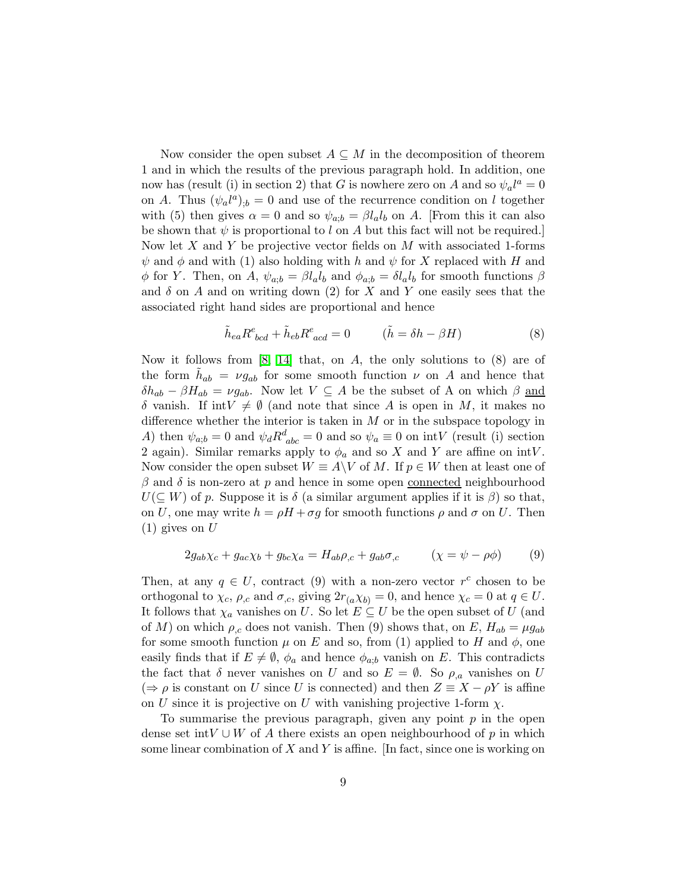Now consider the open subset  $A \subseteq M$  in the decomposition of theorem 1 and in which the results of the previous paragraph hold. In addition, one now has (result (i) in section 2) that G is nowhere zero on A and so  $\psi_a l^a = 0$ on A. Thus  $(\psi_a l^a)_{;b} = 0$  and use of the recurrence condition on l together with (5) then gives  $\alpha = 0$  and so  $\psi_{a,b} = \beta l_a l_b$  on A. [From this it can also be shown that  $\psi$  is proportional to l on A but this fact will not be required. Now let X and Y be projective vector fields on  $M$  with associated 1-forms  $\psi$  and  $\phi$  and with (1) also holding with h and  $\psi$  for X replaced with H and  $\phi$  for Y. Then, on A,  $\psi_{a;b} = \beta l_a l_b$  and  $\phi_{a;b} = \delta l_a l_b$  for smooth functions  $\beta$ and  $\delta$  on A and on writing down (2) for X and Y one easily sees that the associated right hand sides are proportional and hence

$$
\tilde{h}_{ea}R^{e}_{\;\;bcd} + \tilde{h}_{eb}R^{e}_{\;\;acd} = 0 \qquad (\tilde{h} = \delta h - \beta H) \tag{8}
$$

Now it follows from  $[8, 14]$  $[8, 14]$  that, on A, the only solutions to  $(8)$  are of the form  $\tilde{h}_{ab} = \nu g_{ab}$  for some smooth function  $\nu$  on A and hence that  $\delta h_{ab} - \beta H_{ab} = \nu g_{ab}$ . Now let  $V \subseteq A$  be the subset of A on which  $\beta$  and  $\delta$  vanish. If int $V \neq \emptyset$  (and note that since A is open in M, it makes no difference whether the interior is taken in  $M$  or in the subspace topology in A) then  $\psi_{a;b} = 0$  and  $\psi_d R^d_{abc} = 0$  and so  $\psi_a \equiv 0$  on intV (result (i) section 2 again). Similar remarks apply to  $\phi_a$  and so X and Y are affine on intV. Now consider the open subset  $W \equiv A \backslash V$  of M. If  $p \in W$  then at least one of  $\beta$  and  $\delta$  is non-zero at p and hence in some open connected neighbourhood  $U(\subseteq W)$  of p. Suppose it is  $\delta$  (a similar argument applies if it is  $\beta$ ) so that, on U, one may write  $h = \rho H + \sigma g$  for smooth functions  $\rho$  and  $\sigma$  on U. Then  $(1)$  gives on U

$$
2g_{ab}\chi_c + g_{ac}\chi_b + g_{bc}\chi_a = H_{ab}\rho_{,c} + g_{ab}\sigma_{,c} \qquad (\chi = \psi - \rho\phi) \qquad (9)
$$

Then, at any  $q \in U$ , contract (9) with a non-zero vector  $r^c$  chosen to be orthogonal to  $\chi_c$ ,  $\rho_{,c}$  and  $\sigma_{,c}$ , giving  $2r_{(a}\chi_{b)} = 0$ , and hence  $\chi_c = 0$  at  $q \in U$ . It follows that  $\chi_a$  vanishes on U. So let  $E \subseteq U$  be the open subset of U (and of M) on which  $\rho_{c}$  does not vanish. Then (9) shows that, on E,  $H_{ab} = \mu g_{ab}$ for some smooth function  $\mu$  on E and so, from (1) applied to H and  $\phi$ , one easily finds that if  $E \neq \emptyset$ ,  $\phi_a$  and hence  $\phi_{a,b}$  vanish on E. This contradicts the fact that  $\delta$  never vanishes on U and so  $E = \emptyset$ . So  $\rho_{a}$  vanishes on U  $(\Rightarrow \rho \text{ is constant on } U \text{ since } U \text{ is connected})$  and then  $Z \equiv X - \rho Y$  is affine on U since it is projective on U with vanishing projective 1-form  $\chi$ .

To summarise the previous paragraph, given any point  $p$  in the open dense set int $V \cup W$  of A there exists an open neighbourhood of p in which some linear combination of  $X$  and  $Y$  is affine. [In fact, since one is working on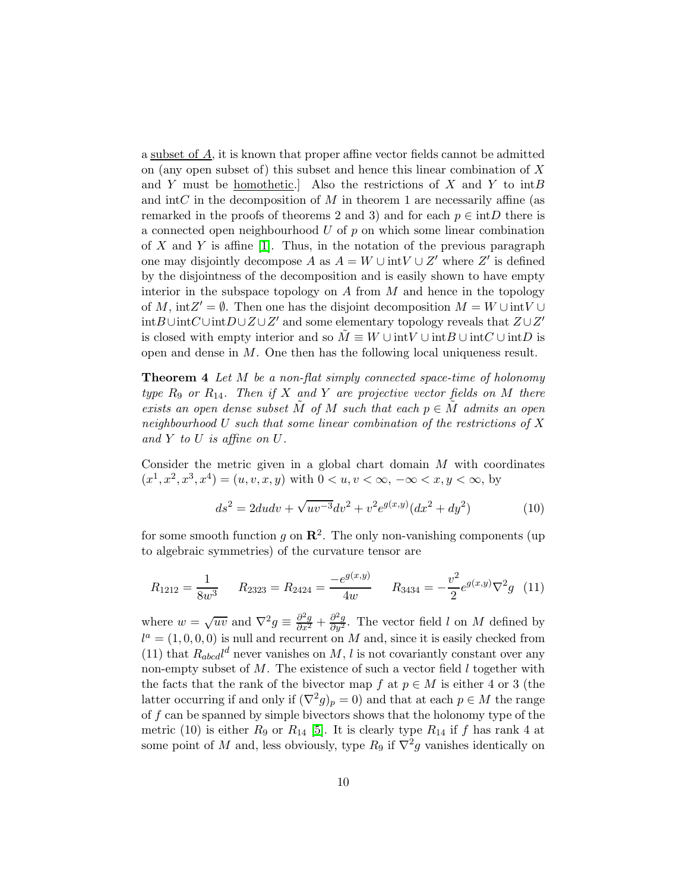a subset of  $\overline{A}$ , it is known that proper affine vector fields cannot be admitted on (any open subset of) this subset and hence this linear combination of X and Y must be <u>homothetic</u>. Also the restrictions of X and Y to  $intB$ and int $C$  in the decomposition of  $M$  in theorem 1 are necessarily affine (as remarked in the proofs of theorems 2 and 3) and for each  $p \in \text{int}D$  there is a connected open neighbourhood U of  $p$  on which some linear combination of X and Y is affine  $[1]$ . Thus, in the notation of the previous paragraph one may disjointly decompose  $A$  as  $A = W \cup \text{int}V \cup Z'$  where  $Z'$  is defined by the disjointness of the decomposition and is easily shown to have empty interior in the subspace topology on  $A$  from  $M$  and hence in the topology of M,  $intZ' = \emptyset$ . Then one has the disjoint decomposition  $M = W \cup intV \cup$  $\mathrm{int}B\cup\mathrm{int}C\cup\mathrm{int}D\cup Z\cup Z'$  and some elementary topology reveals that  $Z\cup Z'$ is closed with empty interior and so  $\tilde{M} \equiv W \cup \text{int}V \cup \text{int}B \cup \text{int}C \cup \text{int}D$  is open and dense in M. One then has the following local uniqueness result.

**Theorem 4** Let M be a non-flat simply connected space-time of holonomy type  $R_9$  or  $R_{14}$ . Then if X and Y are projective vector fields on M there exists an open dense subset M of M such that each  $p \in M$  admits an open neighbourhood U such that some linear combination of the restrictions of X and  $Y$  to  $U$  is affine on  $U$ .

Consider the metric given in a global chart domain  $M$  with coordinates  $(x^1, x^2, x^3, x^4) = (u, v, x, y)$  with  $0 < u, v < \infty, -\infty < x, y < \infty$ , by

$$
ds^{2} = 2du dv + \sqrt{uv^{-3}} dv^{2} + v^{2} e^{g(x,y)} (dx^{2} + dy^{2})
$$
 (10)

for some smooth function g on  $\mathbb{R}^2$ . The only non-vanishing components (up to algebraic symmetries) of the curvature tensor are

$$
R_{1212} = \frac{1}{8w^3} \qquad R_{2323} = R_{2424} = \frac{-e^{g(x,y)}}{4w} \qquad R_{3434} = -\frac{v^2}{2}e^{g(x,y)}\nabla^2 g \tag{11}
$$

where  $w = \sqrt{uv}$  and  $\nabla^2 g = \frac{\partial^2 g}{\partial x^2} + \frac{\partial^2 g}{\partial y^2}$ . The vector field l on M defined by  $l^a = (1, 0, 0, 0)$  is null and recurrent on M and, since it is easily checked from (11) that  $R_{abcd}l^d$  never vanishes on M, l is not covariantly constant over any non-empty subset of  $M$ . The existence of such a vector field  $l$  together with the facts that the rank of the bivector map f at  $p \in M$  is either 4 or 3 (the latter occurring if and only if  $(\nabla^2 g)_p = 0$  and that at each  $p \in M$  the range of  $f$  can be spanned by simple bivectors shows that the holonomy type of the metric (10) is either  $R_9$  or  $R_{14}$  [\[5\]](#page-10-4). It is clearly type  $R_{14}$  if f has rank 4 at some point of M and, less obviously, type  $R_9$  if  $\nabla^2 g$  vanishes identically on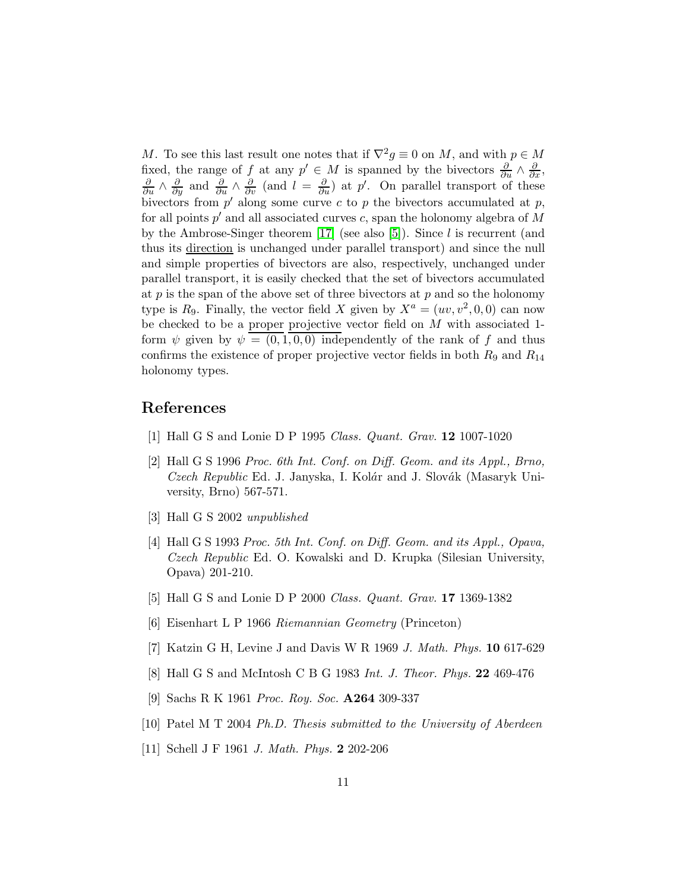M. To see this last result one notes that if  $\nabla^2 g \equiv 0$  on M, and with  $p \in M$ fixed, the range of f at any  $p' \in M$  is spanned by the bivectors  $\frac{\partial}{\partial u} \wedge \frac{\partial}{\partial x}$ ,  $\frac{\partial}{\partial u} \wedge \frac{\partial}{\partial y}$  and  $\frac{\partial}{\partial u} \wedge \frac{\partial}{\partial v}$  (and  $l = \frac{\partial}{\partial u}$ ) at  $p'$ . On parallel transport of these bivectors from  $p'$  along some curve c to p the bivectors accumulated at p, for all points  $p'$  and all associated curves c, span the holonomy algebra of M by the Ambrose-Singer theorem  $[17]$  (see also  $[5]$ ). Since l is recurrent (and thus its direction is unchanged under parallel transport) and since the null and simple properties of bivectors are also, respectively, unchanged under parallel transport, it is easily checked that the set of bivectors accumulated at  $p$  is the span of the above set of three bivectors at  $p$  and so the holonomy type is  $R_9$ . Finally, the vector field X given by  $X^a = (uv, v^2, 0, 0)$  can now be checked to be a proper projective vector field on  $M$  with associated 1form  $\psi$  given by  $\psi = (0, 1, 0, 0)$  independently of the rank of f and thus confirms the existence of proper projective vector fields in both  $R_9$  and  $R_{14}$ holonomy types.

### <span id="page-10-0"></span>References

- <span id="page-10-1"></span>[1] Hall G S and Lonie D P 1995 Class. Quant. Grav. 12 1007-1020
- [2] Hall G S 1996 Proc. 6th Int. Conf. on Diff. Geom. and its Appl., Brno, Czech Republic Ed. J. Janyska, I. Kolár and J. Slovák (Masaryk University, Brno) 567-571.
- <span id="page-10-3"></span><span id="page-10-2"></span>[3] Hall G S 2002 unpublished
- [4] Hall G S 1993 *Proc. 5th Int. Conf. on Diff. Geom. and its Appl., Opava,* Czech Republic Ed. O. Kowalski and D. Krupka (Silesian University, Opava) 201-210.
- <span id="page-10-5"></span><span id="page-10-4"></span>[5] Hall G S and Lonie D P 2000 Class. Quant. Grav. 17 1369-1382
- <span id="page-10-6"></span>[6] Eisenhart L P 1966 Riemannian Geometry (Princeton)
- <span id="page-10-7"></span>[7] Katzin G H, Levine J and Davis W R 1969 J. Math. Phys. 10 617-629
- <span id="page-10-8"></span>[8] Hall G S and McIntosh C B G 1983 Int. J. Theor. Phys. 22 469-476
- [9] Sachs R K 1961 Proc. Roy. Soc. A264 309-337
- <span id="page-10-10"></span><span id="page-10-9"></span>[10] Patel M T 2004 Ph.D. Thesis submitted to the University of Aberdeen
- [11] Schell J F 1961 J. Math. Phys. 2 202-206